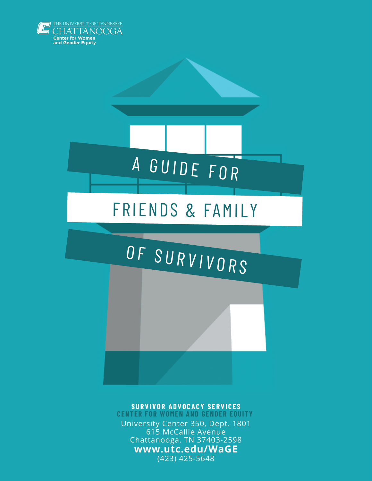



## FRIENDS & FAMILY

# OF SURVIVORS

#### **S U R V I V O R A D V O C A C Y S E R V I C E S**

**CENTER FOR WOMEN AND GENDER EQUITY** University Center 350, Dept. 1801 615 McCallie Avenue Chattanooga, TN 37403-2598 **www.utc.edu/WaGE** (423) 425-5648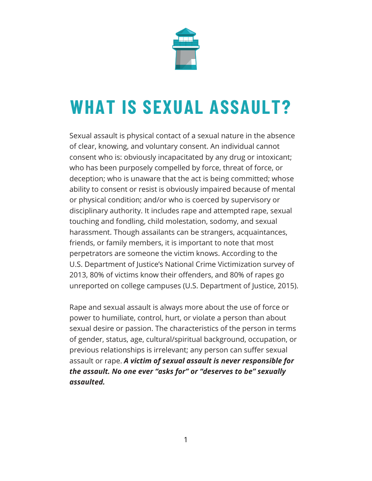

# **WHAT IS SEXUAL ASSAULT?**

Sexual assault is physical contact of a sexual nature in the absence of clear, knowing, and voluntary consent. An individual cannot consent who is: obviously incapacitated by any drug or intoxicant; who has been purposely compelled by force, threat of force, or deception; who is unaware that the act is being committed; whose ability to consent or resist is obviously impaired because of mental or physical condition; and/or who is coerced by supervisory or disciplinary authority. It includes rape and attempted rape, sexual touching and fondling, child molestation, sodomy, and sexual harassment. Though assailants can be strangers, acquaintances, friends, or family members, it is important to note that most perpetrators are someone the victim knows. According to the U.S. Department of Justice's National Crime Victimization survey of 2013, 80% of victims know their offenders, and 80% of rapes go unreported on college campuses (U.S. Department of Justice, 2015).

Rape and sexual assault is always more about the use of force or power to humiliate, control, hurt, or violate a person than about sexual desire or passion. The characteristics of the person in terms of gender, status, age, cultural/spiritual background, occupation, or previous relationships is irrelevant; any person can suffer sexual assault or rape. *A victim of sexual assault is never responsible for the assault. No one ever "asks for" or "deserves to be" sexually assaulted.*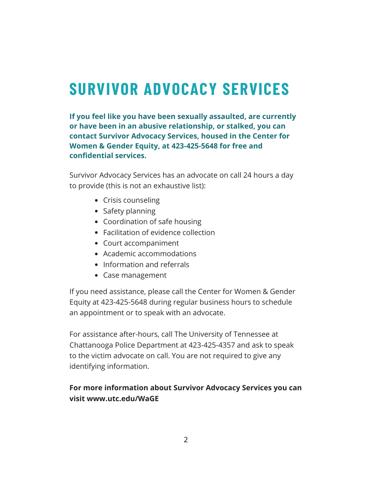# **SURVIVOR ADVOCACY SERVICES**

**If you feel like you have been sexually assaulted, are currently or have been in an abusive relationship, or stalked, you can contact Survivor Advocacy Services, housed in the Center for Women & Gender Equity, at 423-425-5648 for free and confidential services.**

Survivor Advocacy Services has an advocate on call 24 hours a day to provide (this is not an exhaustive list):

- Crisis counseling
- Safety planning
- Coordination of safe housing
- Facilitation of evidence collection
- Court accompaniment
- Academic accommodations
- Information and referrals
- Case management

If you need assistance, please call the Center for Women & Gender Equity at 423-425-5648 during regular business hours to schedule an appointment or to speak with an advocate.

For assistance after-hours, call The University of Tennessee at Chattanooga Police Department at 423-425-4357 and ask to speak to the victim advocate on call. You are not required to give any identifying information.

#### **For more information about Survivor Advocacy Services you can visit www.utc.edu/WaGE**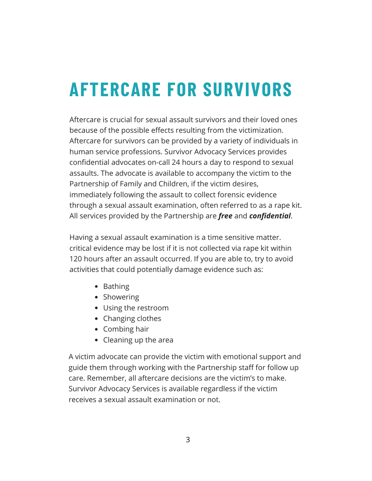# **AFTERCARE FOR SURVIVORS**

Aftercare is crucial for sexual assault survivors and their loved ones because of the possible effects resulting from the victimization. Aftercare for survivors can be provided by a variety of individuals in human service professions. Survivor Advocacy Services provides confidential advocates on-call 24 hours a day to respond to sexual assaults. The advocate is available to accompany the victim to the Partnership of Family and Children, if the victim desires, immediately following the assault to collect forensic evidence through a sexual assault examination, often referred to as a rape kit. All services provided by the Partnership are *free* and *confidential*.

Having a sexual assault examination is a time sensitive matter. critical evidence may be lost if it is not collected via rape kit within 120 hours after an assault occurred. If you are able to, try to avoid activities that could potentially damage evidence such as:

- Bathing
- Showering
- Using the restroom
- Changing clothes
- Combing hair
- Cleaning up the area

A victim advocate can provide the victim with emotional support and guide them through working with the Partnership staff for follow up care. Remember, all aftercare decisions are the victim's to make. Survivor Advocacy Services is available regardless if the victim receives a sexual assault examination or not.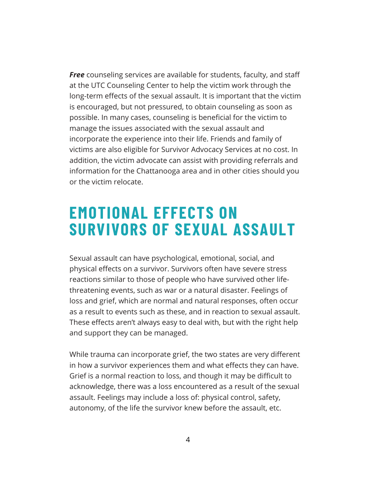*Free* counseling services are available for students, faculty, and staff at the UTC Counseling Center to help the victim work through the long-term effects of the sexual assault. It is important that the victim is encouraged, but not pressured, to obtain counseling as soon as possible. In many cases, counseling is beneficial for the victim to manage the issues associated with the sexual assault and incorporate the experience into their life. Friends and family of victims are also eligible for Survivor Advocacy Services at no cost. In addition, the victim advocate can assist with providing referrals and information for the Chattanooga area and in other cities should you or the victim relocate.

### **EMOTIONAL EFFECTS ON SURVIVORS OF SEXUAL ASSAULT**

Sexual assault can have psychological, emotional, social, and physical effects on a survivor. Survivors often have severe stress reactions similar to those of people who have survived other lifethreatening events, such as war or a natural disaster. Feelings of loss and grief, which are normal and natural responses, often occur as a result to events such as these, and in reaction to sexual assault. These effects aren't always easy to deal with, but with the right help and support they can be managed.

While trauma can incorporate grief, the two states are very different in how a survivor experiences them and what effects they can have. Grief is a normal reaction to loss, and though it may be difficult to acknowledge, there was a loss encountered as a result of the sexual assault. Feelings may include a loss of: physical control, safety, autonomy, of the life the survivor knew before the assault, etc.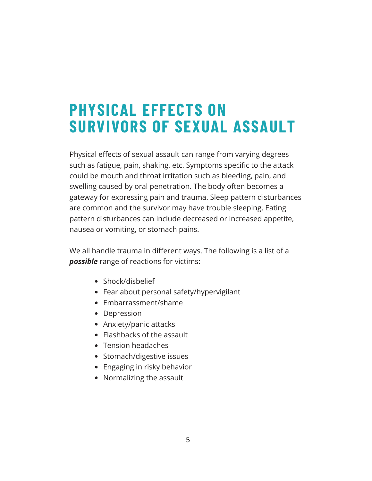### **PHYSICAL EFFECTS ON SURVIVORS OF SEXUAL ASSAULT**

Physical effects of sexual assault can range from varying degrees such as fatigue, pain, shaking, etc. Symptoms specific to the attack could be mouth and throat irritation such as bleeding, pain, and swelling caused by oral penetration. The body often becomes a gateway for expressing pain and trauma. Sleep pattern disturbances are common and the survivor may have trouble sleeping. Eating pattern disturbances can include decreased or increased appetite, nausea or vomiting, or stomach pains.

We all handle trauma in different ways. The following is a list of a *possible* range of reactions for victims:

- Shock/disbelief
- Fear about personal safety/hypervigilant
- Embarrassment/shame
- Depression
- Anxiety/panic attacks
- Flashbacks of the assault
- Tension headaches
- Stomach/digestive issues
- Engaging in risky behavior
- Normalizing the assault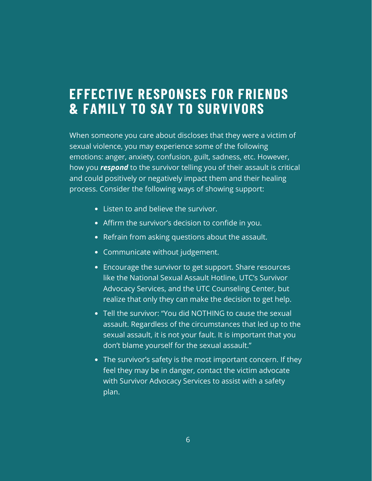#### **EFFECTIVE RESPONSES FOR FRIENDS & FAMILY TO SAY TO SURVIVORS**

When someone you care about discloses that they were a victim of sexual violence, you may experience some of the following emotions: anger, anxiety, confusion, guilt, sadness, etc. However, how you *respond* to the survivor telling you of their assault is critical and could positively or negatively impact them and their healing process. Consider the following ways of showing support:

- Listen to and believe the survivor.
- Affirm the survivor's decision to confide in you.
- Refrain from asking questions about the assault.
- Communicate without judgement.
- Encourage the survivor to get support. Share resources like the National Sexual Assault Hotline, UTC's Survivor Advocacy Services, and the UTC Counseling Center, but realize that only they can make the decision to get help.
- Tell the survivor: "You did NOTHING to cause the sexual assault. Regardless of the circumstances that led up to the sexual assault, it is not your fault. It is important that you don't blame yourself for the sexual assault."
- The survivor's safety is the most important concern. If they feel they may be in danger, contact the victim advocate with Survivor Advocacy Services to assist with a safety plan.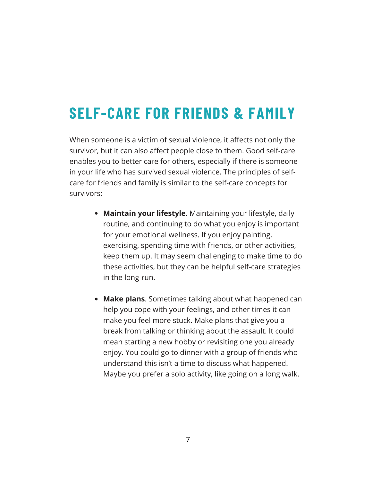### **SELF-CARE FOR FRIENDS & FAMILY**

When someone is a victim of sexual violence, it affects not only the survivor, but it can also affect people close to them. Good self-care enables you to better care for others, especially if there is someone in your life who has survived sexual violence. The principles of selfcare for friends and family is similar to the self-care concepts for survivors:

- **Maintain your lifestyle**. Maintaining your lifestyle, daily routine, and continuing to do what you enjoy is important for your emotional wellness. If you enjoy painting, exercising, spending time with friends, or other activities, keep them up. It may seem challenging to make time to do these activities, but they can be helpful self-care strategies in the long-run.
- **Make plans**. Sometimes talking about what happened can help you cope with your feelings, and other times it can make you feel more stuck. Make plans that give you a break from talking or thinking about the assault. It could mean starting a new hobby or revisiting one you already enjoy. You could go to dinner with a group of friends who understand this isn't a time to discuss what happened. Maybe you prefer a solo activity, like going on a long walk.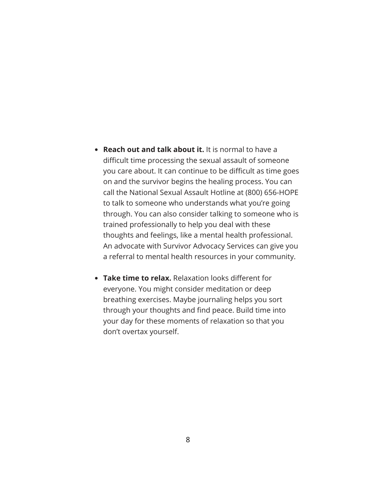- **Reach out and talk about it.** It is normal to have a difficult time processing the sexual assault of someone you care about. It can continue to be difficult as time goes on and the survivor begins the healing process. You can call the National Sexual Assault Hotline at (800) 656-HOPE to talk to someone who understands what you're going through. You can also consider talking to someone who is trained professionally to help you deal with these thoughts and feelings, like a mental health professional. An advocate with Survivor Advocacy Services can give you a referral to mental health resources in your community.
- **Take time to relax.** Relaxation looks different for everyone. You might consider meditation or deep breathing exercises. Maybe journaling helps you sort through your thoughts and find peace. Build time into your day for these moments of relaxation so that you don't overtax yourself.